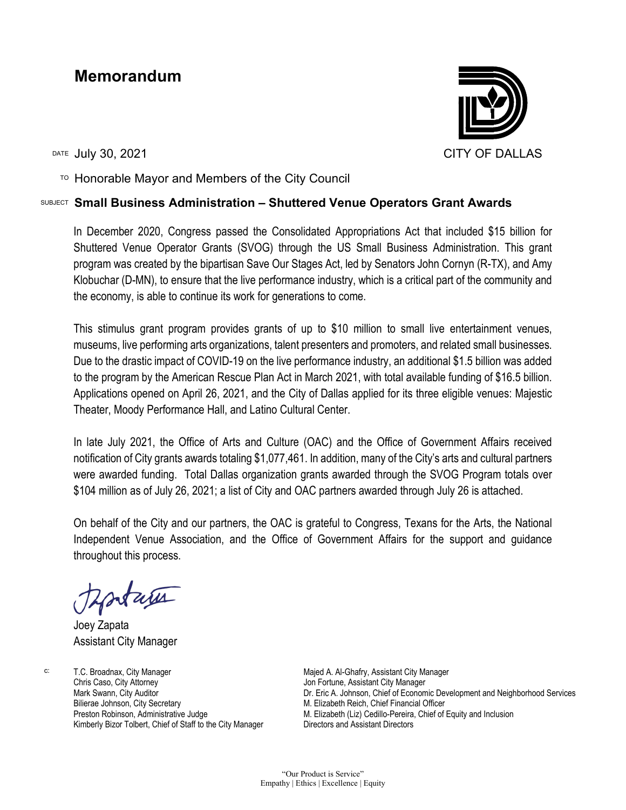## **Memorandum**

DATE JUIV 30, 2021 CITY OF DALLAS

 $T$ <sup>O</sup> Honorable Mayor and Members of the City Council

## SUBJECT **Small Business Administration – Shuttered Venue Operators Grant Awards**

In December 2020, Congress passed the Consolidated Appropriations Act that included \$15 billion for Shuttered Venue Operator Grants (SVOG) through the US Small Business Administration. This grant program was created by the bipartisan Save Our Stages Act, led by Senators John Cornyn (R-TX), and Amy Klobuchar (D-MN), to ensure that the live performance industry, which is a critical part of the community and the economy, is able to continue its work for generations to come.

This stimulus grant program provides grants of up to \$10 million to small live entertainment venues, museums, live performing arts organizations, talent presenters and promoters, and related small businesses. Due to the drastic impact of COVID-19 on the live performance industry, an additional \$1.5 billion was added to the program by the American Rescue Plan Act in March 2021, with total available funding of \$16.5 billion. Applications opened on April 26, 2021, and the City of Dallas applied for its three eligible venues: Majestic Theater, Moody Performance Hall, and Latino Cultural Center.

In late July 2021, the Office of Arts and Culture (OAC) and the Office of Government Affairs received notification of City grants awards totaling \$1,077,461. In addition, many of the City's arts and cultural partners were awarded funding. Total Dallas organization grants awarded through the SVOG Program totals over \$104 million as of July 26, 2021; a list of City and OAC partners awarded through July 26 is attached.

On behalf of the City and our partners, the OAC is grateful to Congress, Texans for the Arts, the National Independent Venue Association, and the Office of Government Affairs for the support and guidance throughout this process.

tara

Joey Zapata Assistant City Manager

c: T.C. Broadnax, City Manager Chris Caso, City Attorney Mark Swann, City Auditor Bilierae Johnson, City Secretary Preston Robinson, Administrative Judge Kimberly Bizor Tolbert, Chief of Staff to the City Manager Majed A. Al-Ghafry, Assistant City Manager Jon Fortune, Assistant City Manager Dr. Eric A. Johnson, Chief of Economic Development and Neighborhood Services M. Elizabeth Reich, Chief Financial Officer M. Elizabeth (Liz) Cedillo-Pereira, Chief of Equity and Inclusion Directors and Assistant Directors